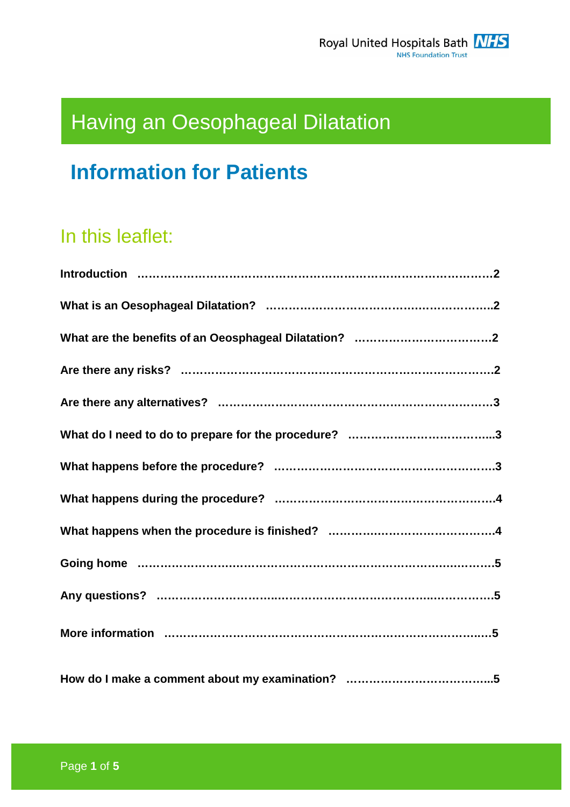# Having an Oesophageal Dilatation

# **Information for Patients**

# In this leaflet: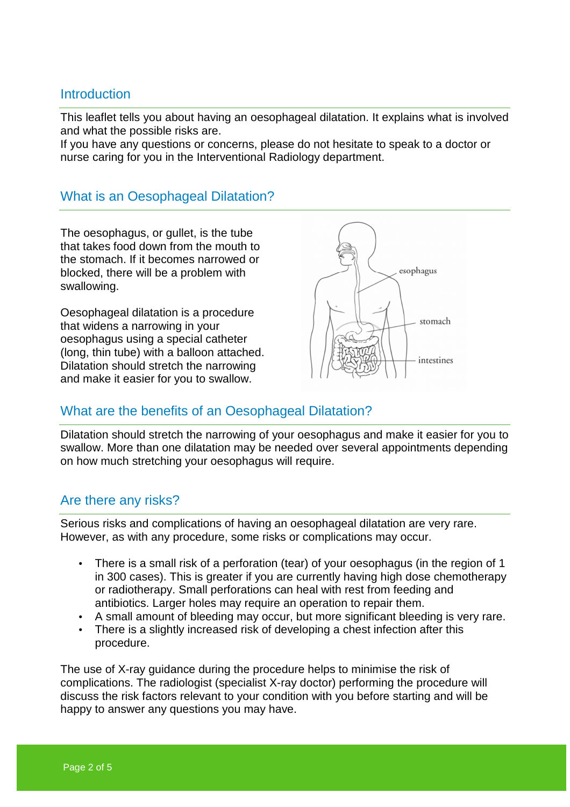#### **Introduction**

This leaflet tells you about having an oesophageal dilatation. It explains what is involved and what the possible risks are.

If you have any questions or concerns, please do not hesitate to speak to a doctor or nurse caring for you in the Interventional Radiology department.

#### What is an Oesophageal Dilatation?

The oesophagus, or gullet, is the tube that takes food down from the mouth to the stomach. If it becomes narrowed or blocked, there will be a problem with swallowing.

Oesophageal dilatation is a procedure that widens a narrowing in your oesophagus using a special catheter (long, thin tube) with a balloon attached. Dilatation should stretch the narrowing and make it easier for you to swallow.



### What are the benefits of an Oesophageal Dilatation?

Dilatation should stretch the narrowing of your oesophagus and make it easier for you to swallow. More than one dilatation may be needed over several appointments depending on how much stretching your oesophagus will require.

#### Are there any risks?

Serious risks and complications of having an oesophageal dilatation are very rare. However, as with any procedure, some risks or complications may occur.

- There is a small risk of a perforation (tear) of your oesophagus (in the region of 1 in 300 cases). This is greater if you are currently having high dose chemotherapy or radiotherapy. Small perforations can heal with rest from feeding and antibiotics. Larger holes may require an operation to repair them.
- A small amount of bleeding may occur, but more significant bleeding is very rare.
- There is a slightly increased risk of developing a chest infection after this procedure.

The use of X-ray guidance during the procedure helps to minimise the risk of complications. The radiologist (specialist X-ray doctor) performing the procedure will discuss the risk factors relevant to your condition with you before starting and will be happy to answer any questions you may have.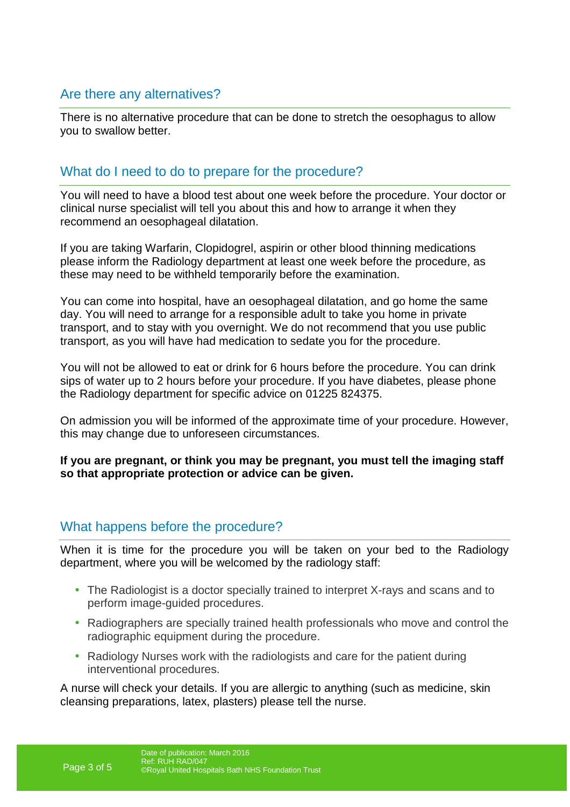## Are there any alternatives?

There is no alternative procedure that can be done to stretch the oesophagus to allow you to swallow better.

#### What do I need to do to prepare for the procedure?

You will need to have a blood test about one week before the procedure. Your doctor or clinical nurse specialist will tell you about this and how to arrange it when they recommend an oesophageal dilatation.

If you are taking Warfarin, Clopidogrel, aspirin or other blood thinning medications please inform the Radiology department at least one week before the procedure, as these may need to be withheld temporarily before the examination.

You can come into hospital, have an oesophageal dilatation, and go home the same day. You will need to arrange for a responsible adult to take you home in private transport, and to stay with you overnight. We do not recommend that you use public transport, as you will have had medication to sedate you for the procedure.

You will not be allowed to eat or drink for 6 hours before the procedure. You can drink sips of water up to 2 hours before your procedure. If you have diabetes, please phone the Radiology department for specific advice on 01225 824375.

On admission you will be informed of the approximate time of your procedure. However, this may change due to unforeseen circumstances.

**If you are pregnant, or think you may be pregnant, you must tell the imaging staff so that appropriate protection or advice can be given.** 

#### What happens before the procedure?

When it is time for the procedure you will be taken on your bed to the Radiology department, where you will be welcomed by the radiology staff:

- The Radiologist is a doctor specially trained to interpret X-rays and scans and to perform image-guided procedures.
- Radiographers are specially trained health professionals who move and control the radiographic equipment during the procedure.
- Radiology Nurses work with the radiologists and care for the patient during interventional procedures.

A nurse will check your details. If you are allergic to anything (such as medicine, skin cleansing preparations, latex, plasters) please tell the nurse.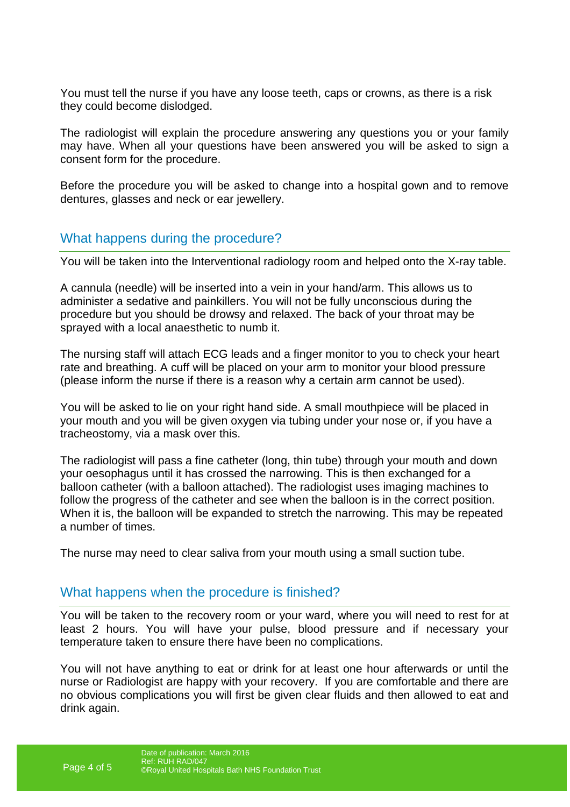You must tell the nurse if you have any loose teeth, caps or crowns, as there is a risk they could become dislodged.

The radiologist will explain the procedure answering any questions you or your family may have. When all your questions have been answered you will be asked to sign a consent form for the procedure.

Before the procedure you will be asked to change into a hospital gown and to remove dentures, glasses and neck or ear jewellery.

#### What happens during the procedure?

You will be taken into the Interventional radiology room and helped onto the X-ray table.

A cannula (needle) will be inserted into a vein in your hand/arm. This allows us to administer a sedative and painkillers. You will not be fully unconscious during the procedure but you should be drowsy and relaxed. The back of your throat may be sprayed with a local anaesthetic to numb it.

The nursing staff will attach ECG leads and a finger monitor to you to check your heart rate and breathing. A cuff will be placed on your arm to monitor your blood pressure (please inform the nurse if there is a reason why a certain arm cannot be used).

You will be asked to lie on your right hand side. A small mouthpiece will be placed in your mouth and you will be given oxygen via tubing under your nose or, if you have a tracheostomy, via a mask over this.

The radiologist will pass a fine catheter (long, thin tube) through your mouth and down your oesophagus until it has crossed the narrowing. This is then exchanged for a balloon catheter (with a balloon attached). The radiologist uses imaging machines to follow the progress of the catheter and see when the balloon is in the correct position. When it is, the balloon will be expanded to stretch the narrowing. This may be repeated a number of times.

The nurse may need to clear saliva from your mouth using a small suction tube.

#### What happens when the procedure is finished?

You will be taken to the recovery room or your ward, where you will need to rest for at least 2 hours. You will have your pulse, blood pressure and if necessary your temperature taken to ensure there have been no complications.

You will not have anything to eat or drink for at least one hour afterwards or until the nurse or Radiologist are happy with your recovery. If you are comfortable and there are no obvious complications you will first be given clear fluids and then allowed to eat and drink again.